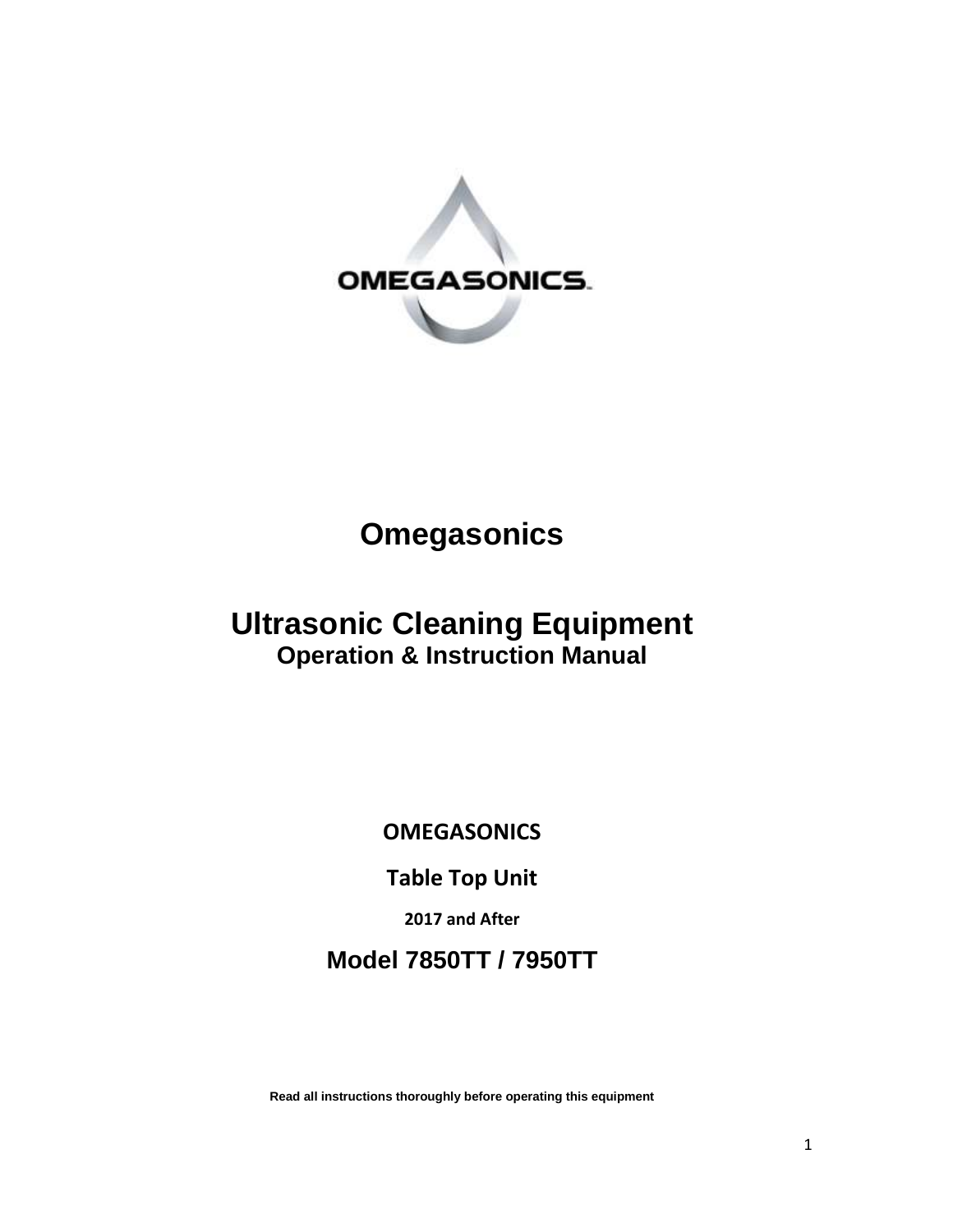

# **Omegasonics**

# **Ultrasonic Cleaning Equipment Operation & Instruction Manual**

**OMEGASONICS**

**Table Top Unit**

**2017 and After**

**Model 7850TT / 7950TT** 

**Read all instructions thoroughly before operating this equipment**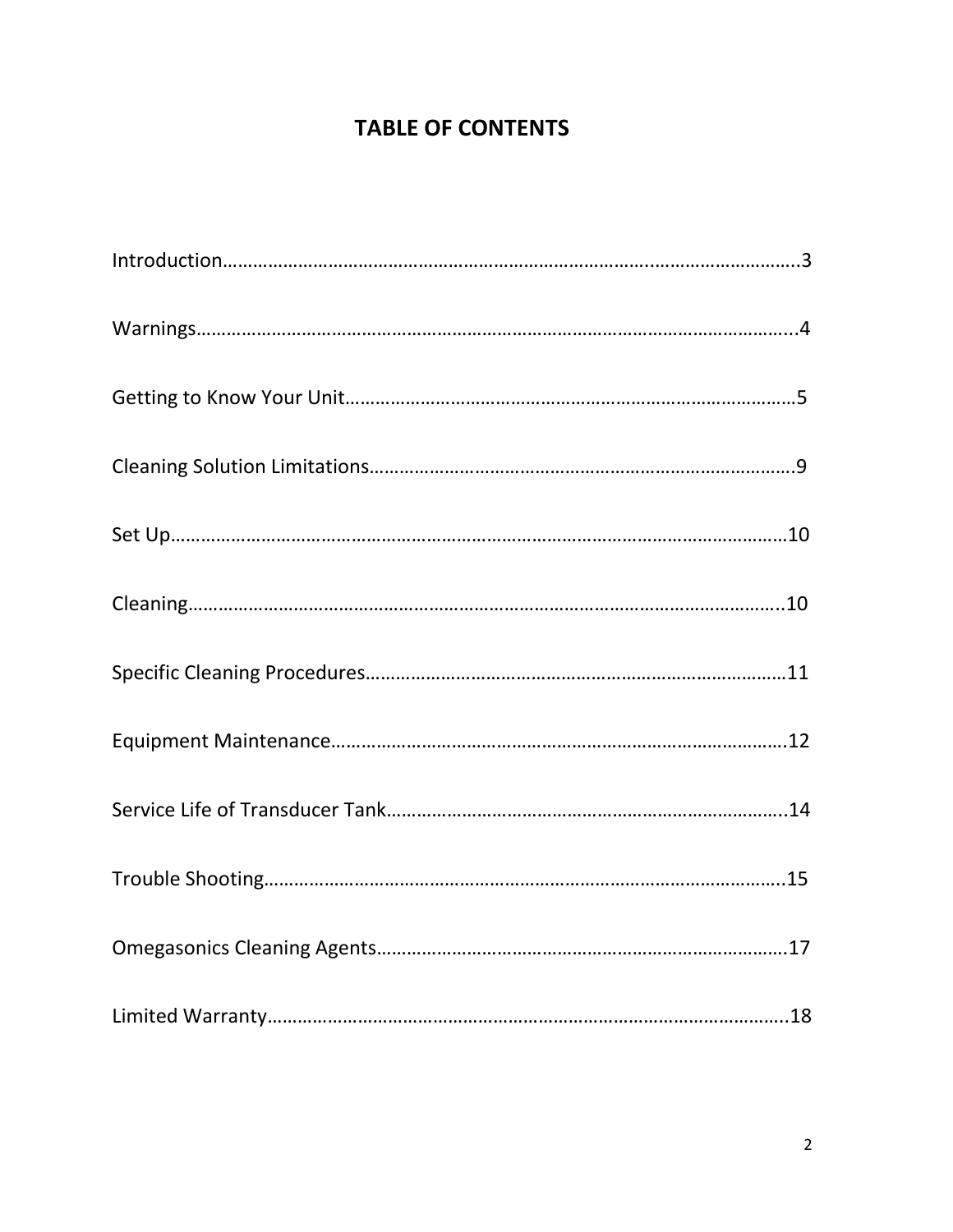## **TABLE OF CONTENTS**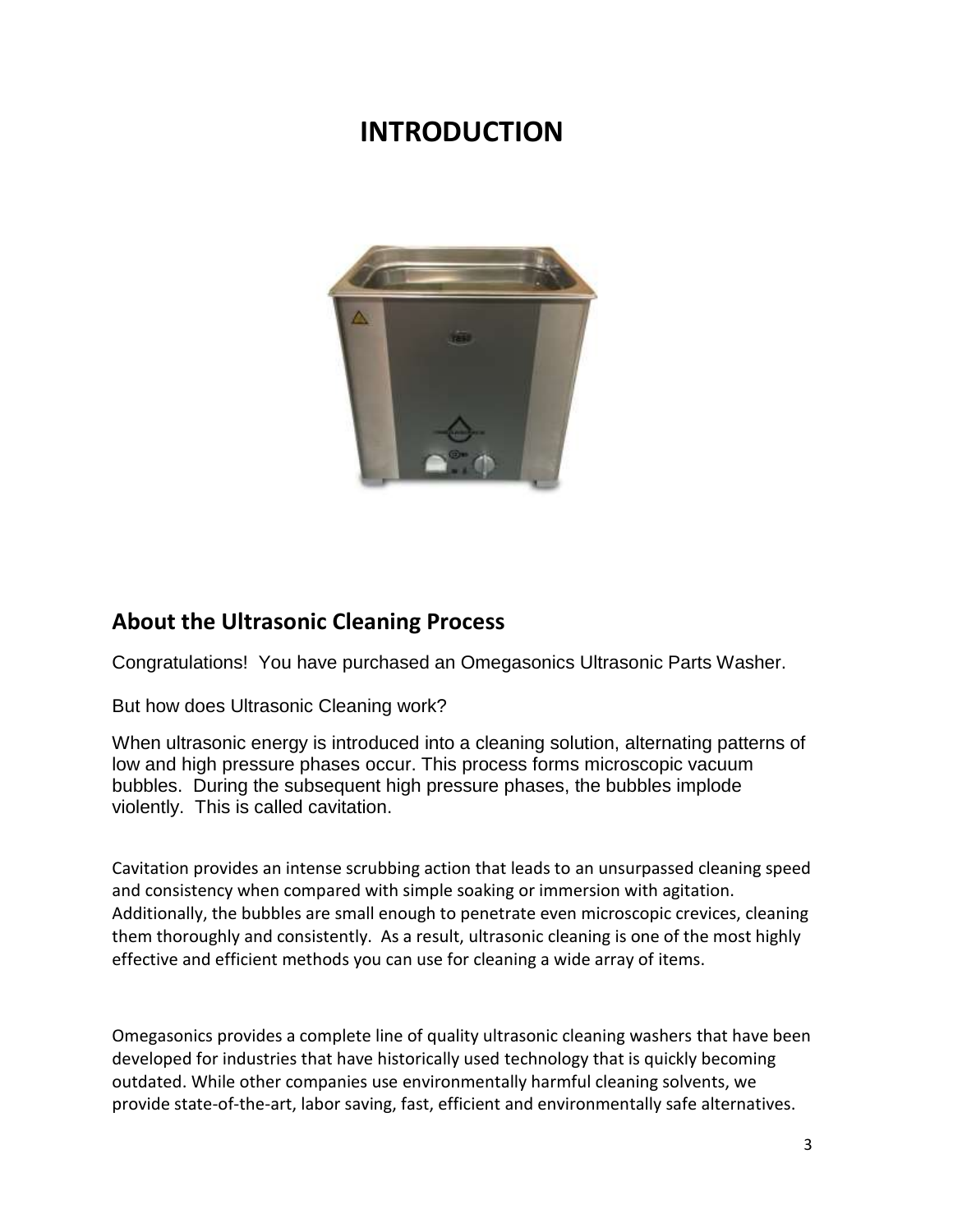# **INTRODUCTION**



### **About the Ultrasonic Cleaning Process**

Congratulations! You have purchased an Omegasonics Ultrasonic Parts Washer.

But how does Ultrasonic Cleaning work?

When ultrasonic energy is introduced into a cleaning solution, alternating patterns of low and high pressure phases occur. This process forms microscopic vacuum bubbles. During the subsequent high pressure phases, the bubbles implode violently. This is called cavitation.

Cavitation provides an intense scrubbing action that leads to an unsurpassed cleaning speed and consistency when compared with simple soaking or immersion with agitation. Additionally, the bubbles are small enough to penetrate even microscopic crevices, cleaning them thoroughly and consistently. As a result, ultrasonic cleaning is one of the most highly effective and efficient methods you can use for cleaning a wide array of items.

Omegasonics provides a complete line of quality ultrasonic cleaning washers that have been developed for industries that have historically used technology that is quickly becoming outdated. While other companies use environmentally harmful cleaning solvents, we provide state-of-the-art, labor saving, fast, efficient and environmentally safe alternatives.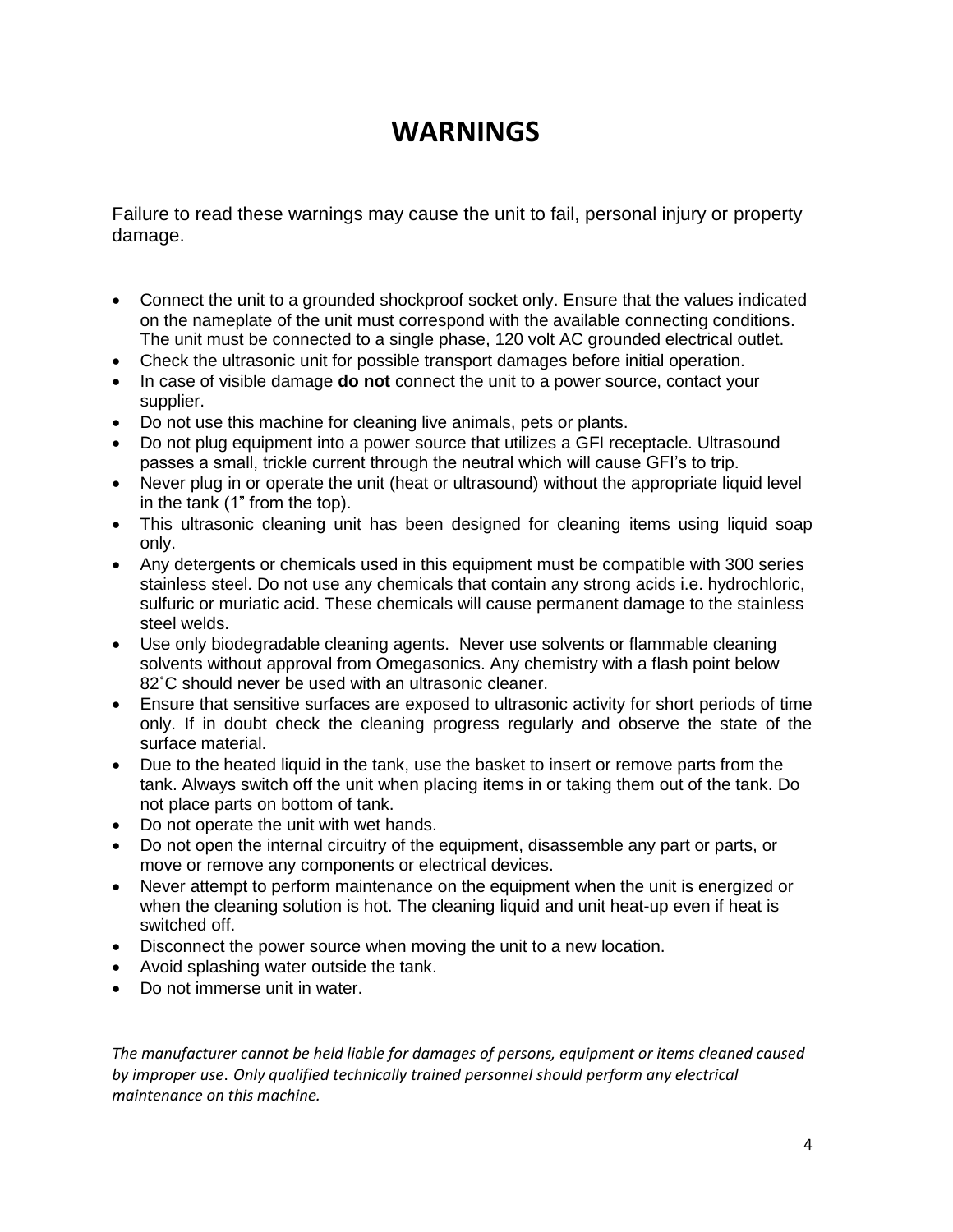# **WARNINGS**

Failure to read these warnings may cause the unit to fail, personal injury or property damage.

- Connect the unit to a grounded shockproof socket only. Ensure that the values indicated on the nameplate of the unit must correspond with the available connecting conditions. The unit must be connected to a single phase, 120 volt AC grounded electrical outlet.
- Check the ultrasonic unit for possible transport damages before initial operation.
- In case of visible damage **do not** connect the unit to a power source, contact your supplier.
- Do not use this machine for cleaning live animals, pets or plants.
- Do not plug equipment into a power source that utilizes a GFI receptacle. Ultrasound passes a small, trickle current through the neutral which will cause GFI's to trip.
- Never plug in or operate the unit (heat or ultrasound) without the appropriate liquid level in the tank (1" from the top).
- This ultrasonic cleaning unit has been designed for cleaning items using liquid soap only.
- Any detergents or chemicals used in this equipment must be compatible with 300 series stainless steel. Do not use any chemicals that contain any strong acids i.e. hydrochloric, sulfuric or muriatic acid. These chemicals will cause permanent damage to the stainless steel welds.
- Use only biodegradable cleaning agents. Never use solvents or flammable cleaning solvents without approval from Omegasonics. Any chemistry with a flash point below 82˚C should never be used with an ultrasonic cleaner.
- Ensure that sensitive surfaces are exposed to ultrasonic activity for short periods of time only. If in doubt check the cleaning progress regularly and observe the state of the surface material.
- Due to the heated liquid in the tank, use the basket to insert or remove parts from the tank. Always switch off the unit when placing items in or taking them out of the tank. Do not place parts on bottom of tank.
- Do not operate the unit with wet hands.
- Do not open the internal circuitry of the equipment, disassemble any part or parts, or move or remove any components or electrical devices.
- Never attempt to perform maintenance on the equipment when the unit is energized or when the cleaning solution is hot. The cleaning liquid and unit heat-up even if heat is switched off.
- Disconnect the power source when moving the unit to a new location.
- Avoid splashing water outside the tank.
- Do not immerse unit in water.

*The manufacturer cannot be held liable for damages of persons, equipment or items cleaned caused by improper use*. *Only qualified technically trained personnel should perform any electrical maintenance on this machine.*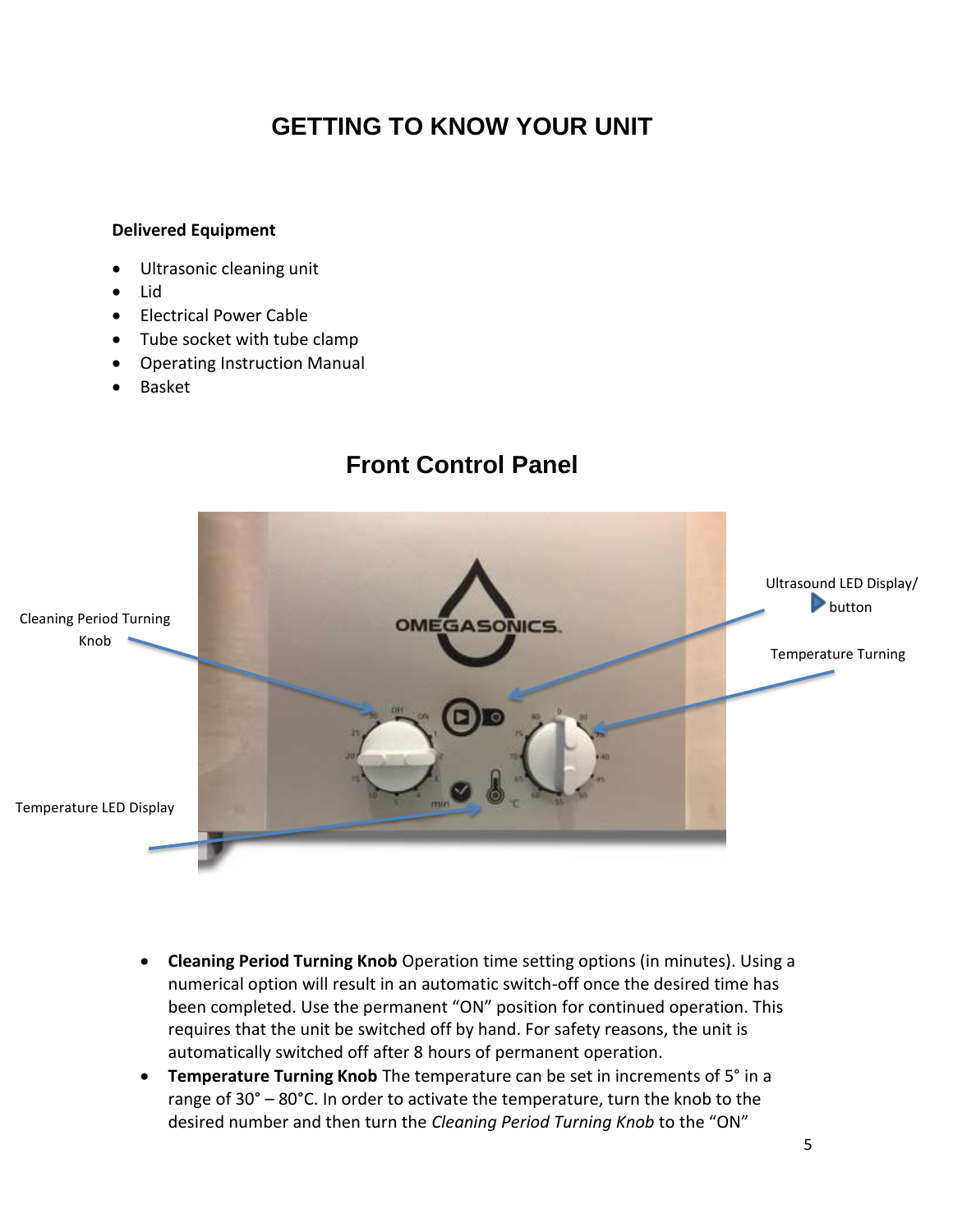# **GETTING TO KNOW YOUR UNIT**

#### **Delivered Equipment**

- Ultrasonic cleaning unit
- Lid
- Electrical Power Cable
- Tube socket with tube clamp
- Operating Instruction Manual
- Basket

# Ultrasound LED Display/ **button** Cleaning Period Turning **OMEGASONICS.** Knob Temperature Turning KnobTemperature LED Display

- **Cleaning Period Turning Knob** Operation time setting options (in minutes). Using a numerical option will result in an automatic switch-off once the desired time has been completed. Use the permanent "ON" position for continued operation. This requires that the unit be switched off by hand. For safety reasons, the unit is automatically switched off after 8 hours of permanent operation.
- **Temperature Turning Knob** The temperature can be set in increments of 5° in a range of 30° – 80°C. In order to activate the temperature, turn the knob to the desired number and then turn the *Cleaning Period Turning Knob* to the "ON"

### **Front Control Panel**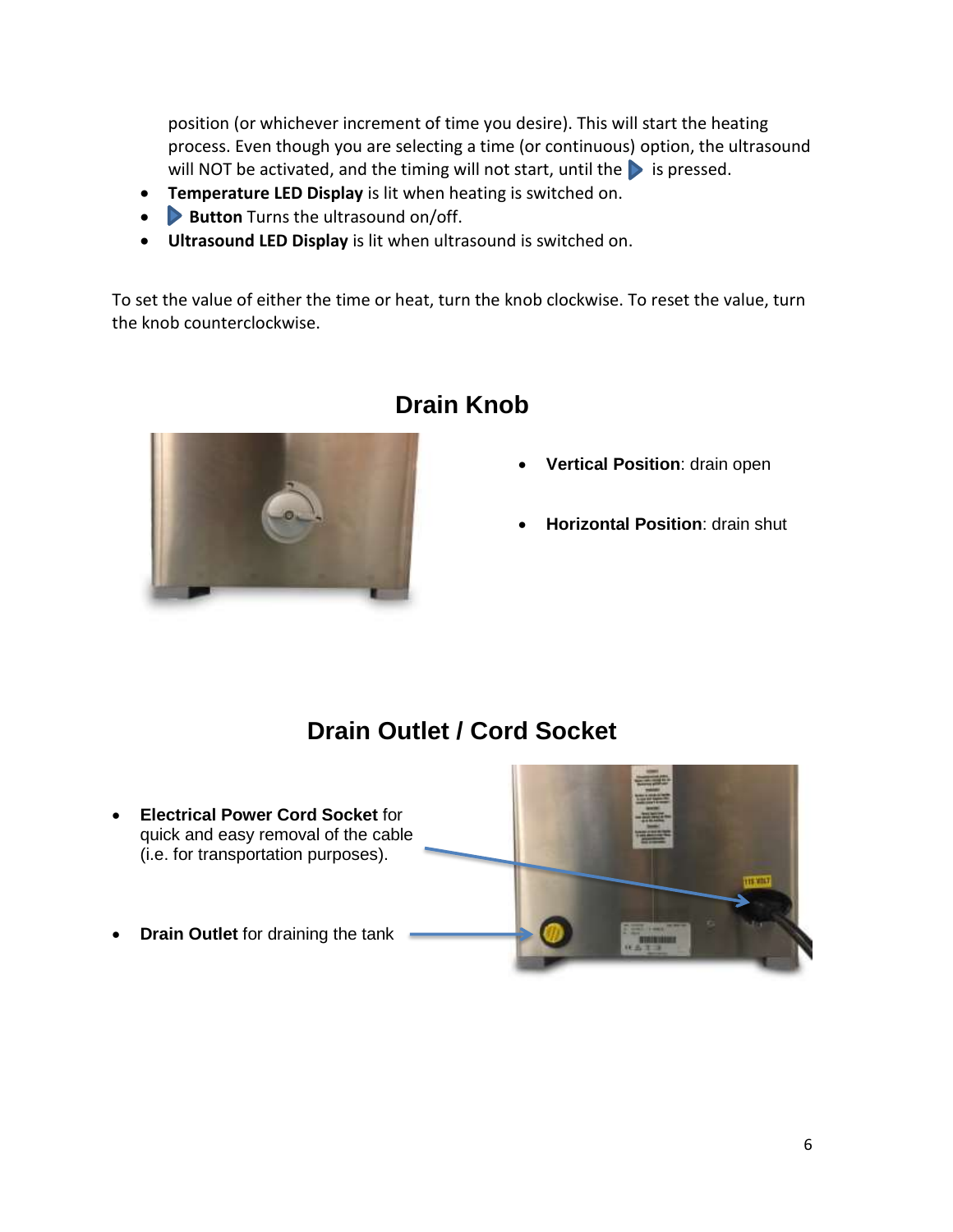position (or whichever increment of time you desire). This will start the heating process. Even though you are selecting a time (or continuous) option, the ultrasound will NOT be activated, and the timing will not start, until the  $\triangleright$  is pressed.

- **Temperature LED Display** is lit when heating is switched on.
- **Button** Turns the ultrasound on/off.
- **Ultrasound LED Display** is lit when ultrasound is switched on.

To set the value of either the time or heat, turn the knob clockwise. To reset the value, turn the knob counterclockwise.



### **Drain Knob**

- **Vertical Position**: drain open
- **Horizontal Position**: drain shut

### **Drain Outlet / Cord Socket**

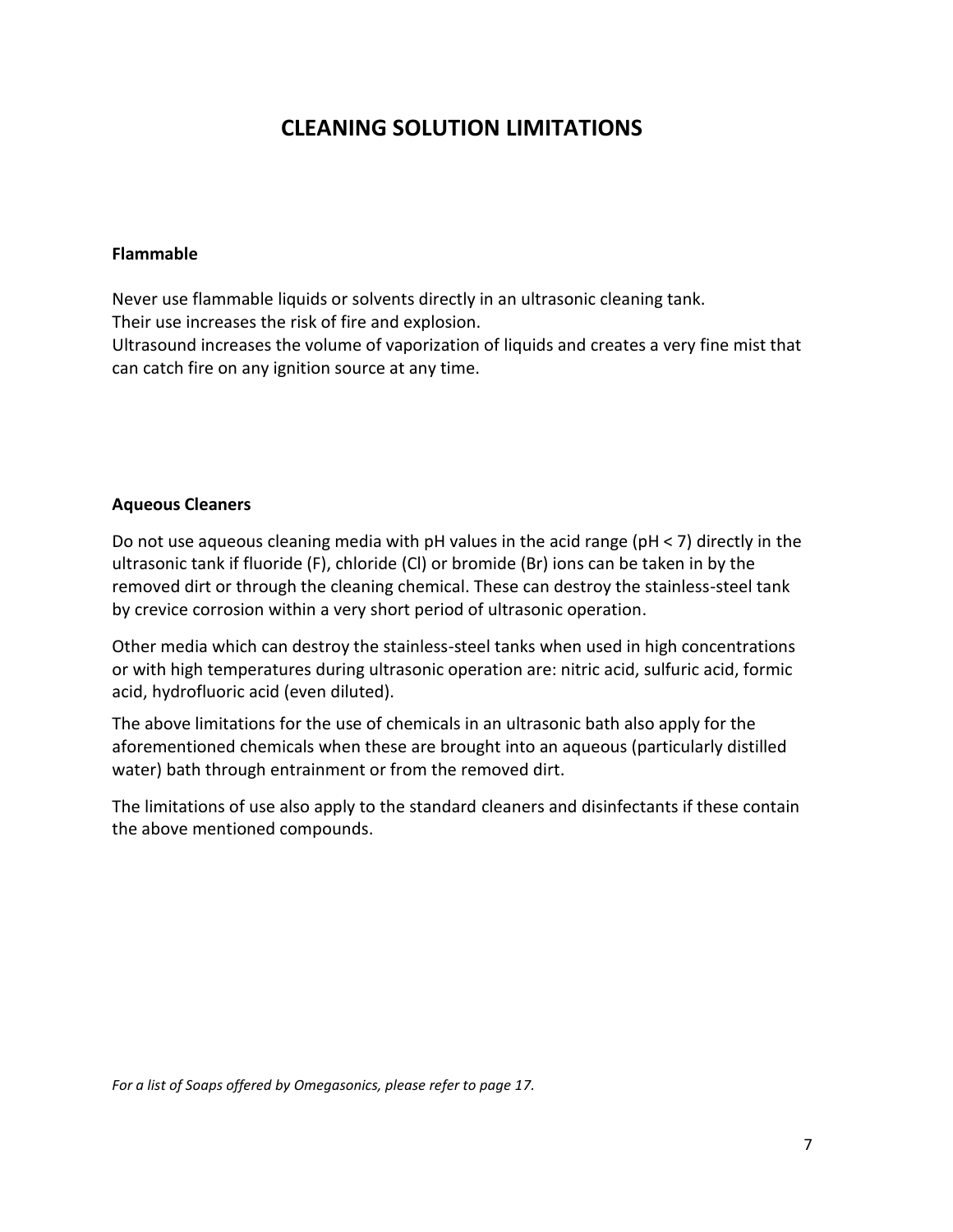### **CLEANING SOLUTION LIMITATIONS**

#### **Flammable**

Never use flammable liquids or solvents directly in an ultrasonic cleaning tank. Their use increases the risk of fire and explosion. Ultrasound increases the volume of vaporization of liquids and creates a very fine mist that

can catch fire on any ignition source at any time.

#### **Aqueous Cleaners**

Do not use aqueous cleaning media with pH values in the acid range (pH < 7) directly in the ultrasonic tank if fluoride (F), chloride (Cl) or bromide (Br) ions can be taken in by the removed dirt or through the cleaning chemical. These can destroy the stainless-steel tank by crevice corrosion within a very short period of ultrasonic operation.

Other media which can destroy the stainless-steel tanks when used in high concentrations or with high temperatures during ultrasonic operation are: nitric acid, sulfuric acid, formic acid, hydrofluoric acid (even diluted).

The above limitations for the use of chemicals in an ultrasonic bath also apply for the aforementioned chemicals when these are brought into an aqueous (particularly distilled water) bath through entrainment or from the removed dirt.

The limitations of use also apply to the standard cleaners and disinfectants if these contain the above mentioned compounds.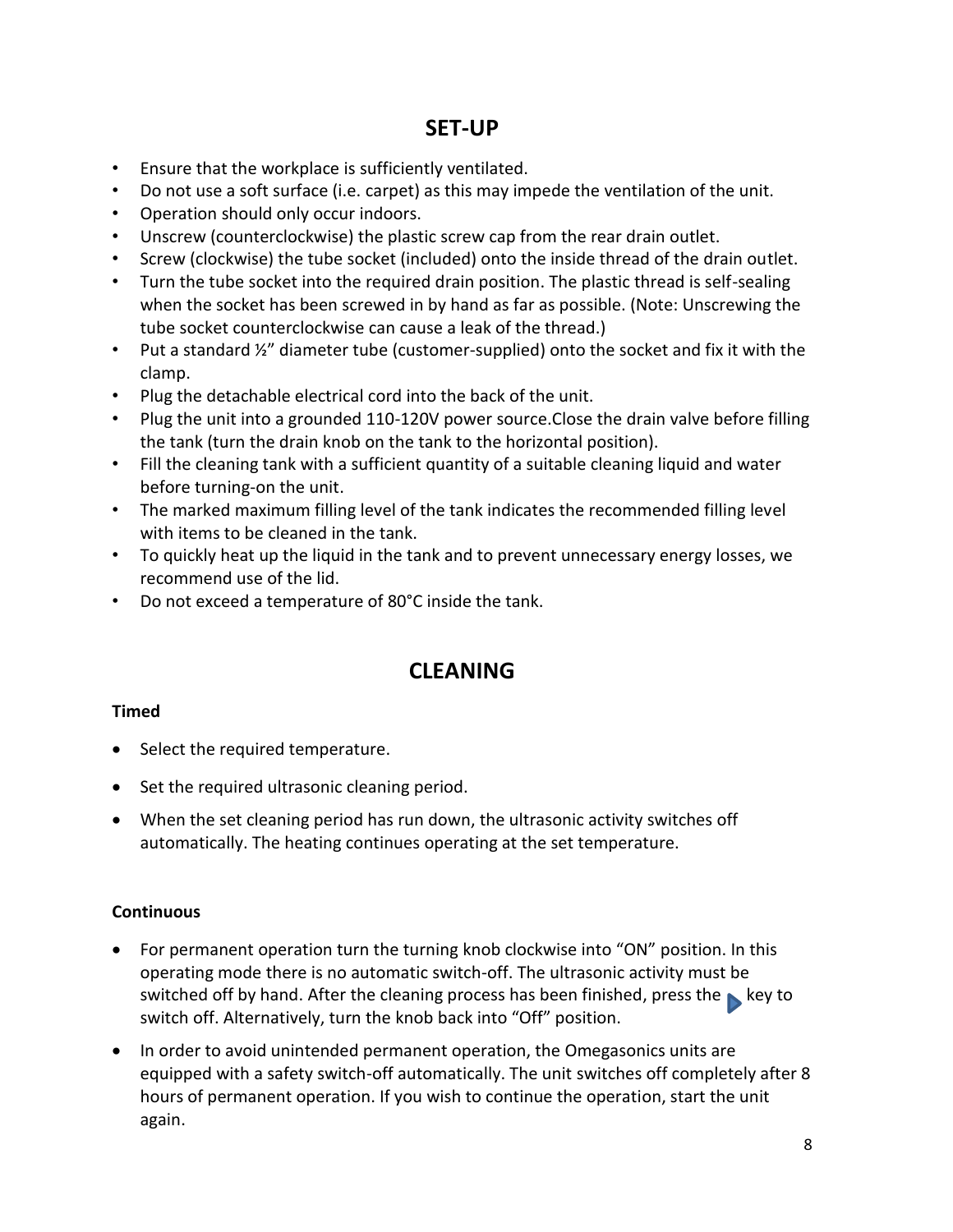### **SET-UP**

- Ensure that the workplace is sufficiently ventilated.
- Do not use a soft surface (i.e. carpet) as this may impede the ventilation of the unit.
- Operation should only occur indoors.
- Unscrew (counterclockwise) the plastic screw cap from the rear drain outlet.
- Screw (clockwise) the tube socket (included) onto the inside thread of the drain outlet.
- Turn the tube socket into the required drain position. The plastic thread is self-sealing when the socket has been screwed in by hand as far as possible. (Note: Unscrewing the tube socket counterclockwise can cause a leak of the thread.)
- Put a standard ½" diameter tube (customer-supplied) onto the socket and fix it with the clamp.
- Plug the detachable electrical cord into the back of the unit.
- Plug the unit into a grounded 110-120V power source.Close the drain valve before filling the tank (turn the drain knob on the tank to the horizontal position).
- Fill the cleaning tank with a sufficient quantity of a suitable cleaning liquid and water before turning-on the unit.
- The marked maximum filling level of the tank indicates the recommended filling level with items to be cleaned in the tank.
- To quickly heat up the liquid in the tank and to prevent unnecessary energy losses, we recommend use of the lid.
- Do not exceed a temperature of 80°C inside the tank.

### **CLEANING**

#### **Timed**

- Select the required temperature.
- Set the required ultrasonic cleaning period.
- When the set cleaning period has run down, the ultrasonic activity switches off automatically. The heating continues operating at the set temperature.

#### **Continuous**

- For permanent operation turn the turning knob clockwise into "ON" position. In this operating mode there is no automatic switch-off. The ultrasonic activity must be switched off by hand. After the cleaning process has been finished, press the  $\blacktriangleright$  key to switch off. Alternatively, turn the knob back into "Off" position.
- In order to avoid unintended permanent operation, the Omegasonics units are equipped with a safety switch-off automatically. The unit switches off completely after 8 hours of permanent operation. If you wish to continue the operation, start the unit again.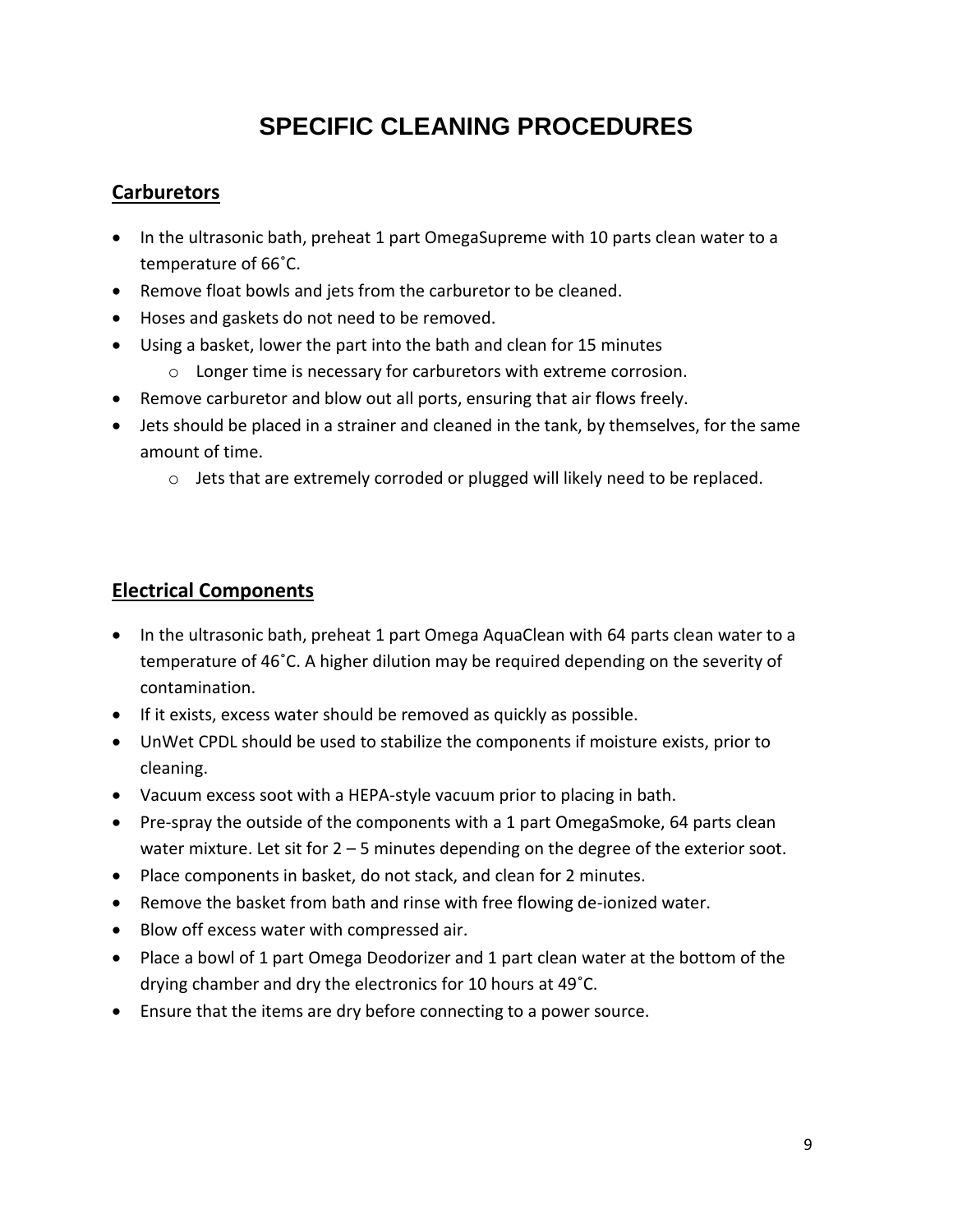# **SPECIFIC CLEANING PROCEDURES**

### **Carburetors**

- In the ultrasonic bath, preheat 1 part OmegaSupreme with 10 parts clean water to a temperature of 66˚C.
- Remove float bowls and jets from the carburetor to be cleaned.
- Hoses and gaskets do not need to be removed.
- Using a basket, lower the part into the bath and clean for 15 minutes
	- o Longer time is necessary for carburetors with extreme corrosion.
- Remove carburetor and blow out all ports, ensuring that air flows freely.
- Jets should be placed in a strainer and cleaned in the tank, by themselves, for the same amount of time.
	- o Jets that are extremely corroded or plugged will likely need to be replaced.

### **Electrical Components**

- In the ultrasonic bath, preheat 1 part Omega AquaClean with 64 parts clean water to a temperature of 46˚C. A higher dilution may be required depending on the severity of contamination.
- If it exists, excess water should be removed as quickly as possible.
- UnWet CPDL should be used to stabilize the components if moisture exists, prior to cleaning.
- Vacuum excess soot with a HEPA-style vacuum prior to placing in bath.
- Pre-spray the outside of the components with a 1 part OmegaSmoke, 64 parts clean water mixture. Let sit for 2 – 5 minutes depending on the degree of the exterior soot.
- Place components in basket, do not stack, and clean for 2 minutes.
- Remove the basket from bath and rinse with free flowing de-ionized water.
- Blow off excess water with compressed air.
- Place a bowl of 1 part Omega Deodorizer and 1 part clean water at the bottom of the drying chamber and dry the electronics for 10 hours at 49˚C.
- Ensure that the items are dry before connecting to a power source.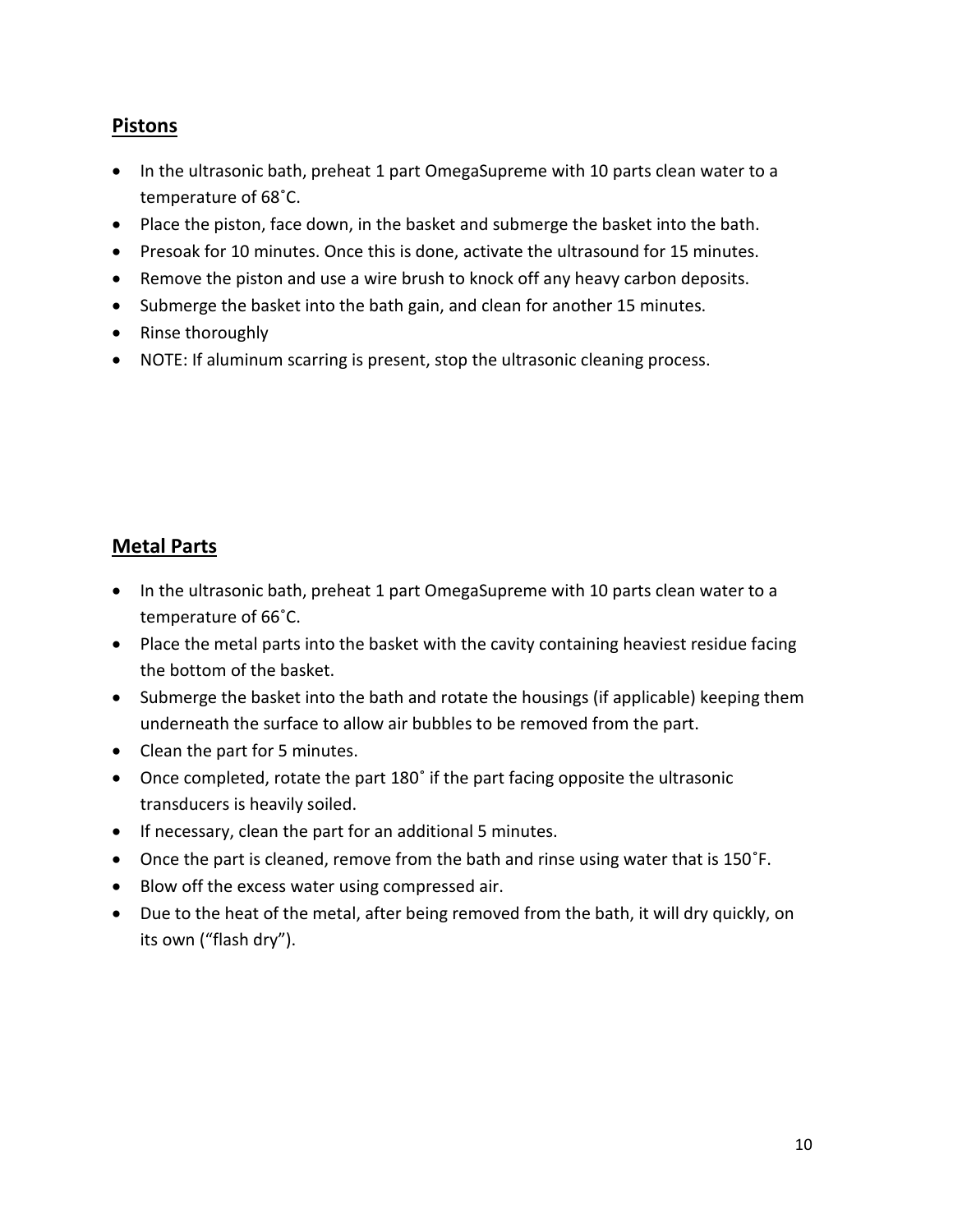### **Pistons**

- In the ultrasonic bath, preheat 1 part OmegaSupreme with 10 parts clean water to a temperature of 68˚C.
- Place the piston, face down, in the basket and submerge the basket into the bath.
- Presoak for 10 minutes. Once this is done, activate the ultrasound for 15 minutes.
- Remove the piston and use a wire brush to knock off any heavy carbon deposits.
- Submerge the basket into the bath gain, and clean for another 15 minutes.
- Rinse thoroughly
- NOTE: If aluminum scarring is present, stop the ultrasonic cleaning process.

### **Metal Parts**

- In the ultrasonic bath, preheat 1 part OmegaSupreme with 10 parts clean water to a temperature of 66˚C.
- Place the metal parts into the basket with the cavity containing heaviest residue facing the bottom of the basket.
- Submerge the basket into the bath and rotate the housings (if applicable) keeping them underneath the surface to allow air bubbles to be removed from the part.
- Clean the part for 5 minutes.
- Once completed, rotate the part 180˚ if the part facing opposite the ultrasonic transducers is heavily soiled.
- If necessary, clean the part for an additional 5 minutes.
- Once the part is cleaned, remove from the bath and rinse using water that is 150˚F.
- Blow off the excess water using compressed air.
- Due to the heat of the metal, after being removed from the bath, it will dry quickly, on its own ("flash dry").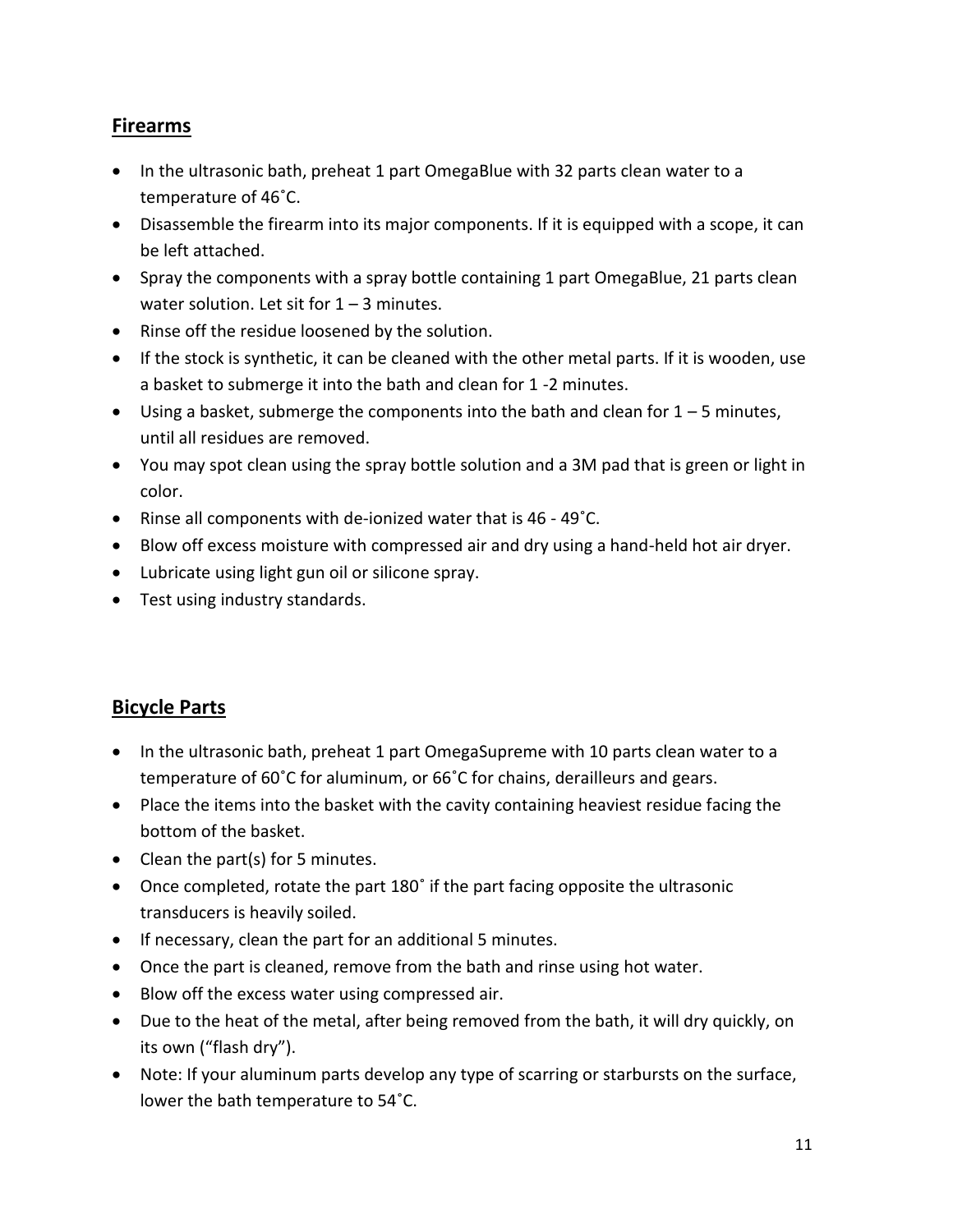### **Firearms**

- In the ultrasonic bath, preheat 1 part OmegaBlue with 32 parts clean water to a temperature of 46˚C.
- Disassemble the firearm into its major components. If it is equipped with a scope, it can be left attached.
- Spray the components with a spray bottle containing 1 part OmegaBlue, 21 parts clean water solution. Let sit for  $1 - 3$  minutes.
- Rinse off the residue loosened by the solution.
- If the stock is synthetic, it can be cleaned with the other metal parts. If it is wooden, use a basket to submerge it into the bath and clean for 1 -2 minutes.
- Using a basket, submerge the components into the bath and clean for  $1 5$  minutes, until all residues are removed.
- You may spot clean using the spray bottle solution and a 3M pad that is green or light in color.
- Rinse all components with de-ionized water that is 46 49°C.
- Blow off excess moisture with compressed air and dry using a hand-held hot air dryer.
- Lubricate using light gun oil or silicone spray.
- Test using industry standards.

### **Bicycle Parts**

- In the ultrasonic bath, preheat 1 part OmegaSupreme with 10 parts clean water to a temperature of 60˚C for aluminum, or 66˚C for chains, derailleurs and gears.
- Place the items into the basket with the cavity containing heaviest residue facing the bottom of the basket.
- Clean the part(s) for 5 minutes.
- Once completed, rotate the part 180˚ if the part facing opposite the ultrasonic transducers is heavily soiled.
- If necessary, clean the part for an additional 5 minutes.
- Once the part is cleaned, remove from the bath and rinse using hot water.
- Blow off the excess water using compressed air.
- Due to the heat of the metal, after being removed from the bath, it will dry quickly, on its own ("flash dry").
- Note: If your aluminum parts develop any type of scarring or starbursts on the surface, lower the bath temperature to 54˚C.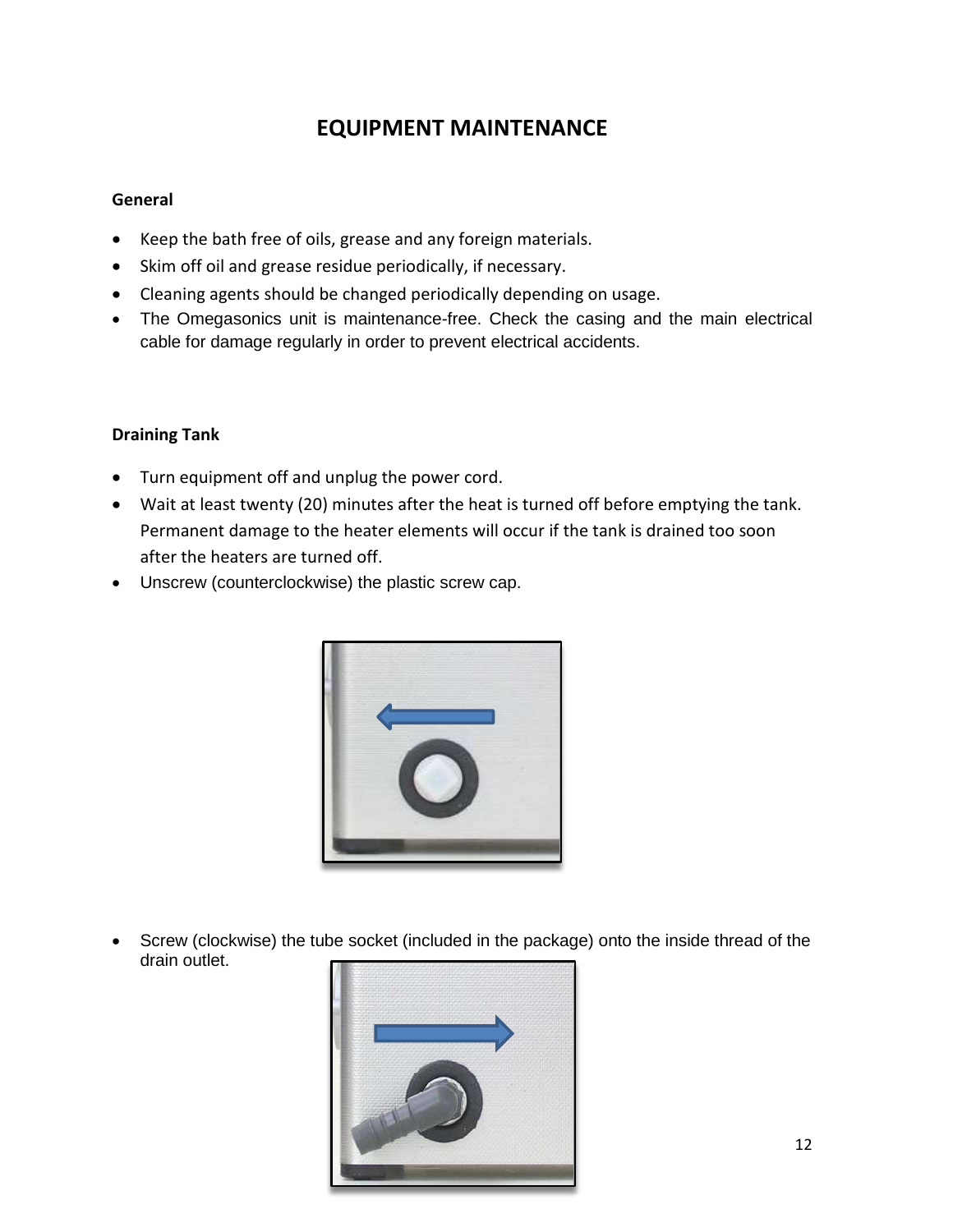### **EQUIPMENT MAINTENANCE**

#### **General**

- Keep the bath free of oils, grease and any foreign materials.
- Skim off oil and grease residue periodically, if necessary.
- Cleaning agents should be changed periodically depending on usage.
- The Omegasonics unit is maintenance-free. Check the casing and the main electrical cable for damage regularly in order to prevent electrical accidents.

#### **Draining Tank**

- Turn equipment off and unplug the power cord.
- Wait at least twenty (20) minutes after the heat is turned off before emptying the tank. Permanent damage to the heater elements will occur if the tank is drained too soon after the heaters are turned off.
- Unscrew (counterclockwise) the plastic screw cap.



 Screw (clockwise) the tube socket (included in the package) onto the inside thread of the drain outlet.

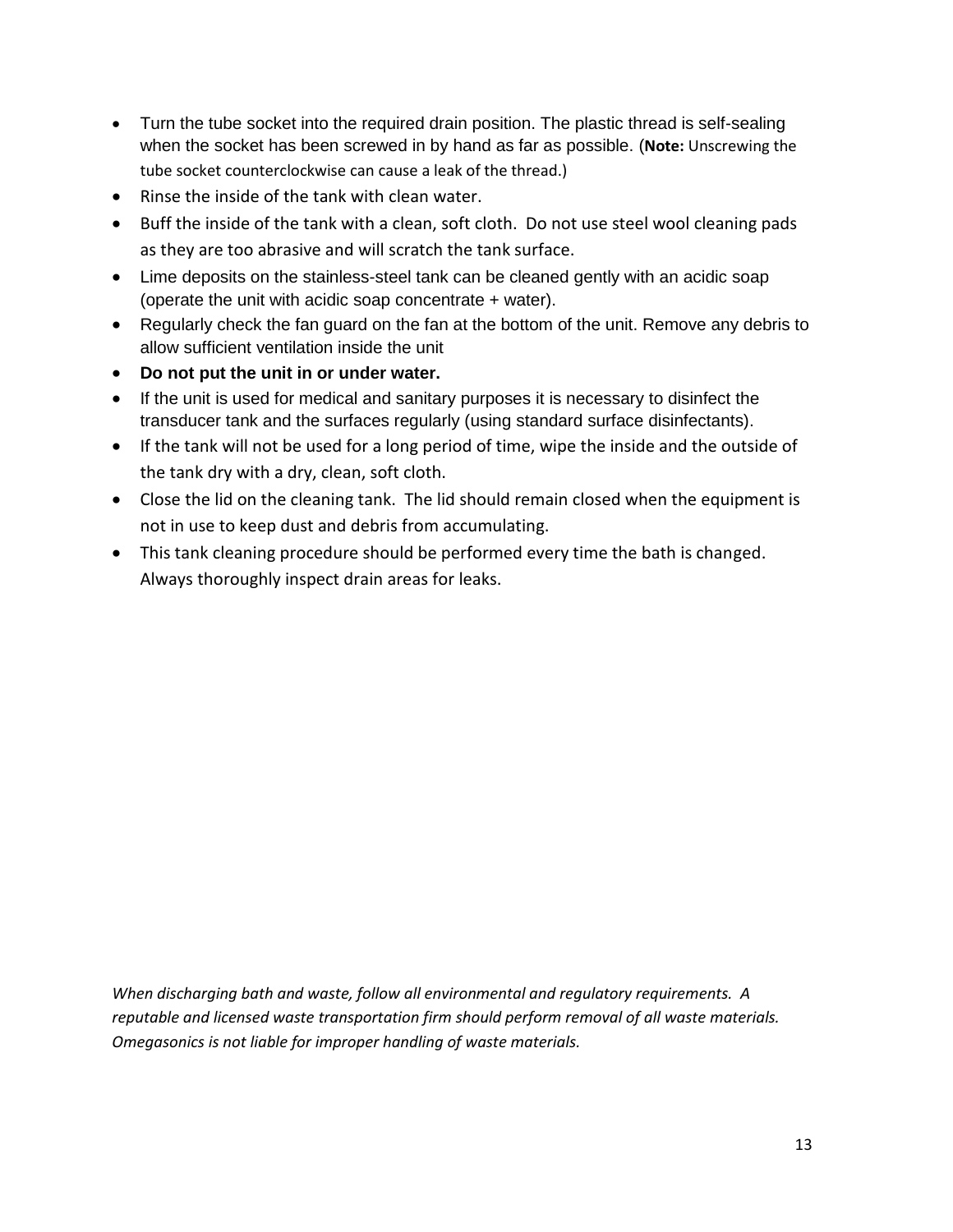- Turn the tube socket into the required drain position. The plastic thread is self-sealing when the socket has been screwed in by hand as far as possible. (**Note:** Unscrewing the tube socket counterclockwise can cause a leak of the thread.)
- Rinse the inside of the tank with clean water.
- Buff the inside of the tank with a clean, soft cloth. Do not use steel wool cleaning pads as they are too abrasive and will scratch the tank surface.
- Lime deposits on the stainless-steel tank can be cleaned gently with an acidic soap (operate the unit with acidic soap concentrate + water).
- Regularly check the fan guard on the fan at the bottom of the unit. Remove any debris to allow sufficient ventilation inside the unit
- **Do not put the unit in or under water.**
- If the unit is used for medical and sanitary purposes it is necessary to disinfect the transducer tank and the surfaces regularly (using standard surface disinfectants).
- If the tank will not be used for a long period of time, wipe the inside and the outside of the tank dry with a dry, clean, soft cloth.
- Close the lid on the cleaning tank. The lid should remain closed when the equipment is not in use to keep dust and debris from accumulating.
- This tank cleaning procedure should be performed every time the bath is changed. Always thoroughly inspect drain areas for leaks.

*When discharging bath and waste, follow all environmental and regulatory requirements. A reputable and licensed waste transportation firm should perform removal of all waste materials. Omegasonics is not liable for improper handling of waste materials.*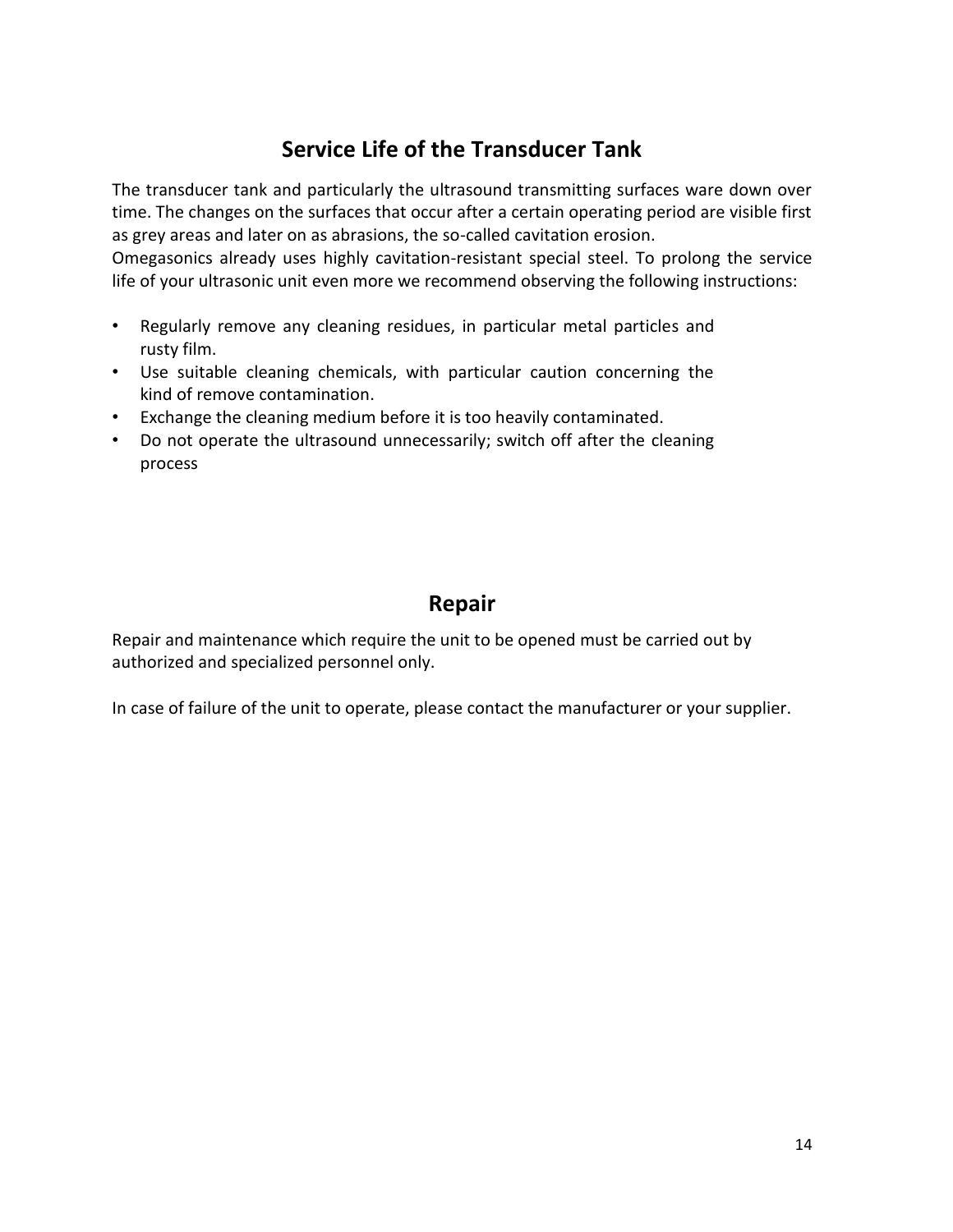### **Service Life of the Transducer Tank**

The transducer tank and particularly the ultrasound transmitting surfaces ware down over time. The changes on the surfaces that occur after a certain operating period are visible first as grey areas and later on as abrasions, the so-called cavitation erosion.

Omegasonics already uses highly cavitation-resistant special steel. To prolong the service life of your ultrasonic unit even more we recommend observing the following instructions:

- Regularly remove any cleaning residues, in particular metal particles and rusty film.
- Use suitable cleaning chemicals, with particular caution concerning the kind of remove contamination.
- Exchange the cleaning medium before it is too heavily contaminated.
- Do not operate the ultrasound unnecessarily; switch off after the cleaning process

### **Repair**

Repair and maintenance which require the unit to be opened must be carried out by authorized and specialized personnel only.

In case of failure of the unit to operate, please contact the manufacturer or your supplier.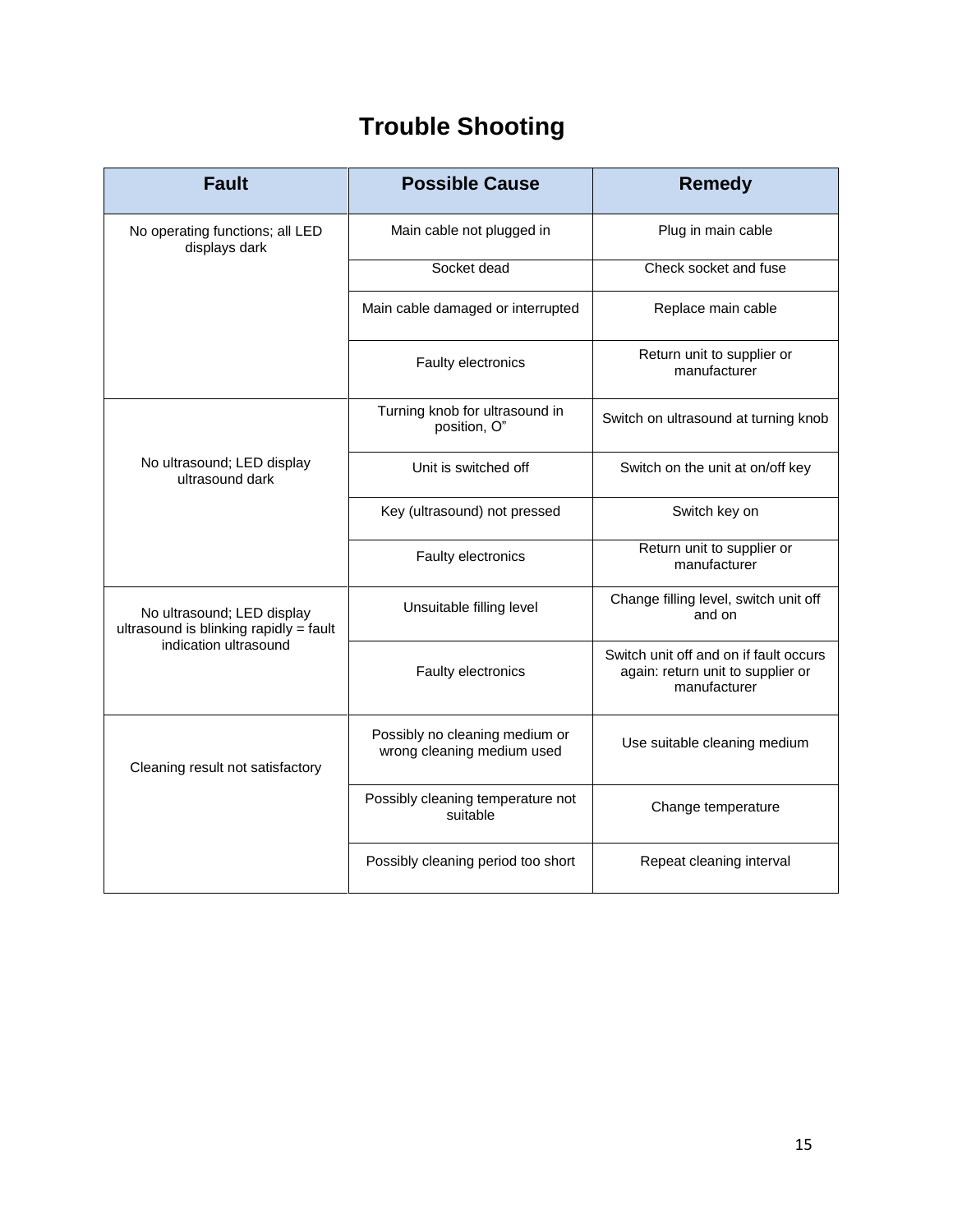# **Trouble Shooting**

| <b>Fault</b>                                                                                  | <b>Possible Cause</b>                                        | <b>Remedy</b>                                                                               |
|-----------------------------------------------------------------------------------------------|--------------------------------------------------------------|---------------------------------------------------------------------------------------------|
| No operating functions; all LED<br>displays dark                                              | Main cable not plugged in                                    | Plug in main cable                                                                          |
|                                                                                               | Socket dead                                                  | Check socket and fuse                                                                       |
|                                                                                               | Main cable damaged or interrupted                            | Replace main cable                                                                          |
|                                                                                               | Faulty electronics                                           | Return unit to supplier or<br>manufacturer                                                  |
| No ultrasound; LED display<br>ultrasound dark                                                 | Turning knob for ultrasound in<br>position, O"               | Switch on ultrasound at turning knob                                                        |
|                                                                                               | Unit is switched off                                         | Switch on the unit at on/off key                                                            |
|                                                                                               | Key (ultrasound) not pressed                                 | Switch key on                                                                               |
|                                                                                               | Faulty electronics                                           | Return unit to supplier or<br>manufacturer                                                  |
| No ultrasound; LED display<br>ultrasound is blinking rapidly = fault<br>indication ultrasound | Unsuitable filling level                                     | Change filling level, switch unit off<br>and on                                             |
|                                                                                               | Faulty electronics                                           | Switch unit off and on if fault occurs<br>again: return unit to supplier or<br>manufacturer |
| Cleaning result not satisfactory                                                              | Possibly no cleaning medium or<br>wrong cleaning medium used | Use suitable cleaning medium                                                                |
|                                                                                               | Possibly cleaning temperature not<br>suitable                | Change temperature                                                                          |
|                                                                                               | Possibly cleaning period too short                           | Repeat cleaning interval                                                                    |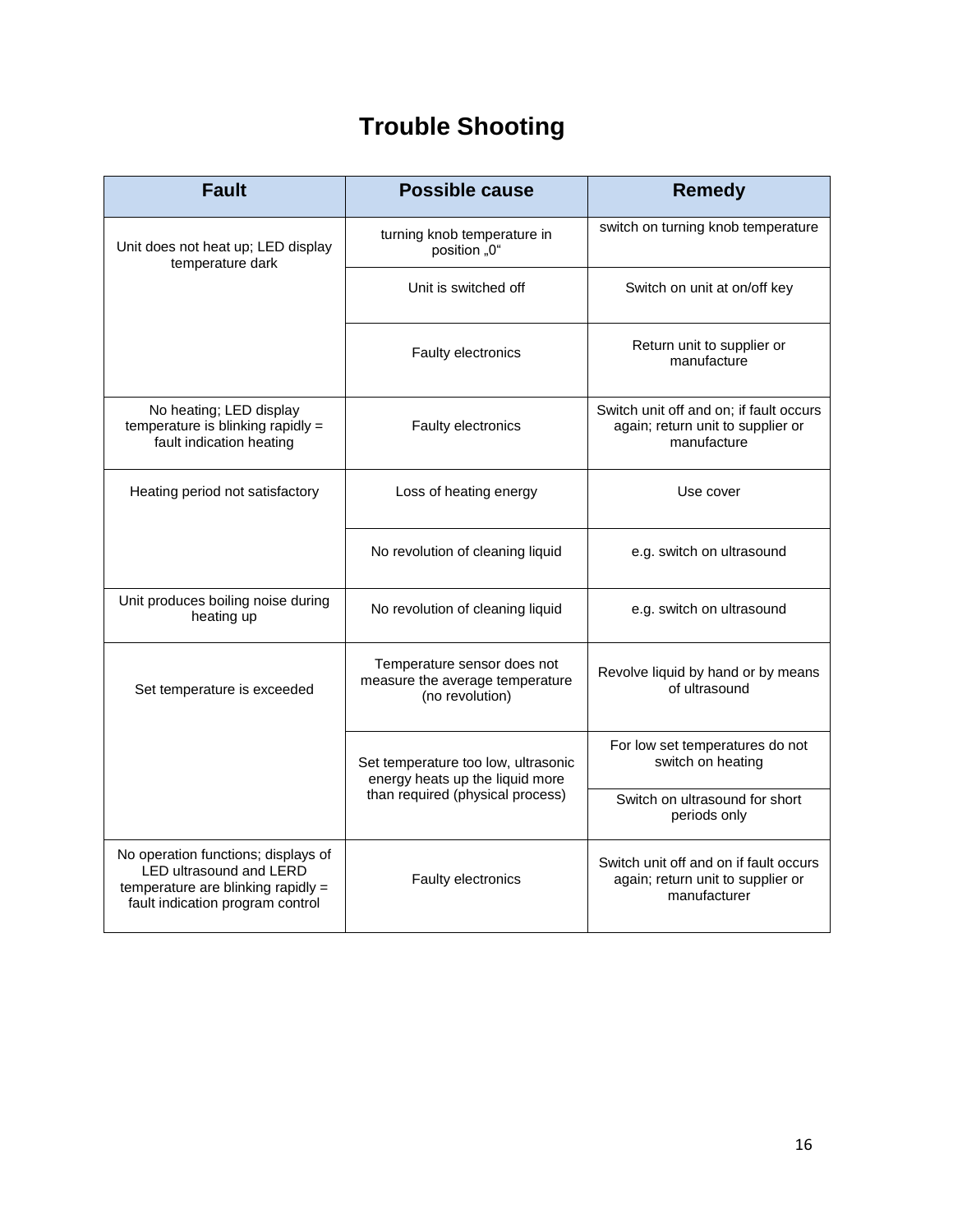# **Trouble Shooting**

| <b>Fault</b>                                                                                                                             | <b>Possible cause</b>                                                                                      | <b>Remedy</b>                                                                               |
|------------------------------------------------------------------------------------------------------------------------------------------|------------------------------------------------------------------------------------------------------------|---------------------------------------------------------------------------------------------|
| Unit does not heat up; LED display<br>temperature dark                                                                                   | turning knob temperature in<br>position "0"                                                                | switch on turning knob temperature                                                          |
|                                                                                                                                          | Unit is switched off                                                                                       | Switch on unit at on/off key                                                                |
|                                                                                                                                          | Faulty electronics                                                                                         | Return unit to supplier or<br>manufacture                                                   |
| No heating; LED display<br>temperature is blinking rapidly =<br>fault indication heating                                                 | Faulty electronics                                                                                         | Switch unit off and on; if fault occurs<br>again; return unit to supplier or<br>manufacture |
| Heating period not satisfactory                                                                                                          | Loss of heating energy                                                                                     | Use cover                                                                                   |
|                                                                                                                                          | No revolution of cleaning liquid                                                                           | e.g. switch on ultrasound                                                                   |
| Unit produces boiling noise during<br>heating up                                                                                         | No revolution of cleaning liquid                                                                           | e.g. switch on ultrasound                                                                   |
| Set temperature is exceeded                                                                                                              | Temperature sensor does not<br>measure the average temperature<br>(no revolution)                          | Revolve liquid by hand or by means<br>of ultrasound                                         |
|                                                                                                                                          | Set temperature too low, ultrasonic<br>energy heats up the liquid more<br>than required (physical process) | For low set temperatures do not<br>switch on heating                                        |
|                                                                                                                                          |                                                                                                            | Switch on ultrasound for short<br>periods only                                              |
| No operation functions; displays of<br>LED ultrasound and LERD<br>temperature are blinking rapidly =<br>fault indication program control | Faulty electronics                                                                                         | Switch unit off and on if fault occurs<br>again; return unit to supplier or<br>manufacturer |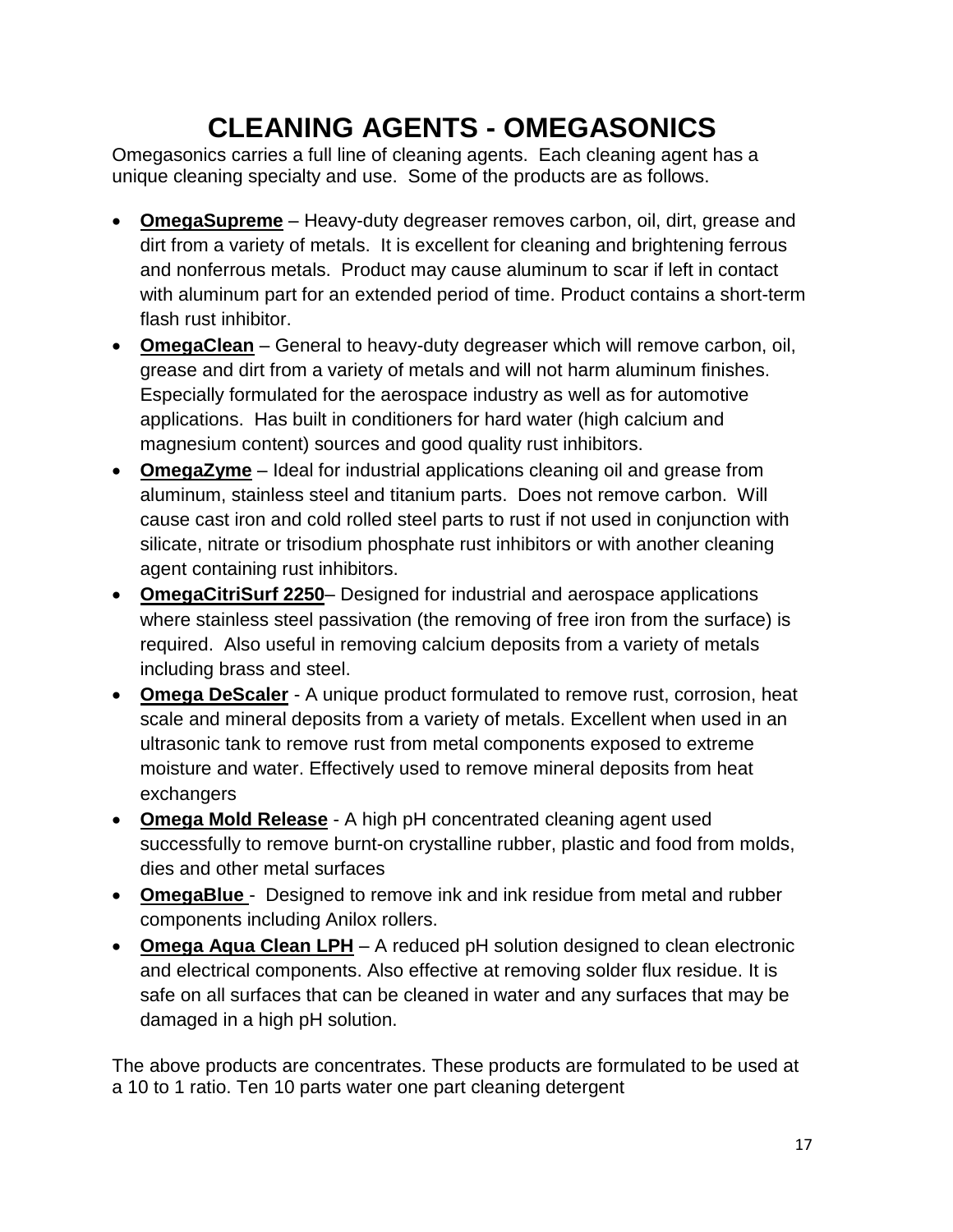# **CLEANING AGENTS - OMEGASONICS**

Omegasonics carries a full line of cleaning agents. Each cleaning agent has a unique cleaning specialty and use. Some of the products are as follows.

- **OmegaSupreme** Heavy-duty degreaser removes carbon, oil, dirt, grease and dirt from a variety of metals. It is excellent for cleaning and brightening ferrous and nonferrous metals. Product may cause aluminum to scar if left in contact with aluminum part for an extended period of time. Product contains a short-term flash rust inhibitor.
- **OmegaClean** General to heavy-duty degreaser which will remove carbon, oil, grease and dirt from a variety of metals and will not harm aluminum finishes. Especially formulated for the aerospace industry as well as for automotive applications. Has built in conditioners for hard water (high calcium and magnesium content) sources and good quality rust inhibitors.
- **OmegaZyme** Ideal for industrial applications cleaning oil and grease from aluminum, stainless steel and titanium parts. Does not remove carbon. Will cause cast iron and cold rolled steel parts to rust if not used in conjunction with silicate, nitrate or trisodium phosphate rust inhibitors or with another cleaning agent containing rust inhibitors.
- **OmegaCitriSurf 2250** Designed for industrial and aerospace applications where stainless steel passivation (the removing of free iron from the surface) is required. Also useful in removing calcium deposits from a variety of metals including brass and steel.
- **Omega DeScaler** A unique product formulated to remove rust, corrosion, heat scale and mineral deposits from a variety of metals. Excellent when used in an ultrasonic tank to remove rust from metal components exposed to extreme moisture and water. Effectively used to remove mineral deposits from heat exchangers
- **Omega Mold Release** A high pH concentrated cleaning agent used successfully to remove burnt-on crystalline rubber, plastic and food from molds, dies and other metal surfaces
- **OmegaBlue**  Designed to remove ink and ink residue from metal and rubber components including Anilox rollers.
- **Omega Aqua Clean LPH** A reduced pH solution designed to clean electronic and electrical components. Also effective at removing solder flux residue. It is safe on all surfaces that can be cleaned in water and any surfaces that may be damaged in a high pH solution.

The above products are concentrates. These products are formulated to be used at a 10 to 1 ratio. Ten 10 parts water one part cleaning detergent